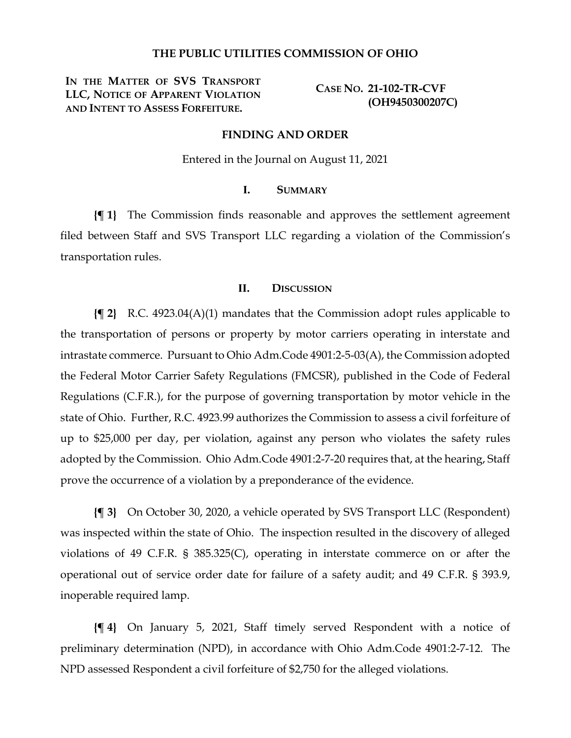### **THE PUBLIC UTILITIES COMMISSION OF OHIO**

**IN THE MATTER OF SVS TRANSPORT LLC, NOTICE OF APPARENT VIOLATION AND INTENT TO ASSESS FORFEITURE.**

**CASE NO. 21-102-TR-CVF (OH9450300207C)**

#### **FINDING AND ORDER**

Entered in the Journal on August 11, 2021

### **I. SUMMARY**

**{¶ 1}** The Commission finds reasonable and approves the settlement agreement filed between Staff and SVS Transport LLC regarding a violation of the Commission's transportation rules.

#### **II. DISCUSSION**

**{¶ 2}** R.C. 4923.04(A)(1) mandates that the Commission adopt rules applicable to the transportation of persons or property by motor carriers operating in interstate and intrastate commerce. Pursuant to Ohio Adm.Code 4901:2-5-03(A), the Commission adopted the Federal Motor Carrier Safety Regulations (FMCSR), published in the Code of Federal Regulations (C.F.R.), for the purpose of governing transportation by motor vehicle in the state of Ohio. Further, R.C. 4923.99 authorizes the Commission to assess a civil forfeiture of up to \$25,000 per day, per violation, against any person who violates the safety rules adopted by the Commission. Ohio Adm.Code 4901:2-7-20 requires that, at the hearing, Staff prove the occurrence of a violation by a preponderance of the evidence.

**{¶ 3}** On October 30, 2020, a vehicle operated by SVS Transport LLC (Respondent) was inspected within the state of Ohio. The inspection resulted in the discovery of alleged violations of 49 C.F.R. § 385.325(C), operating in interstate commerce on or after the operational out of service order date for failure of a safety audit; and 49 C.F.R. § 393.9, inoperable required lamp.

**{¶ 4}** On January 5, 2021, Staff timely served Respondent with a notice of preliminary determination (NPD), in accordance with Ohio Adm.Code 4901:2-7-12. The NPD assessed Respondent a civil forfeiture of \$2,750 for the alleged violations.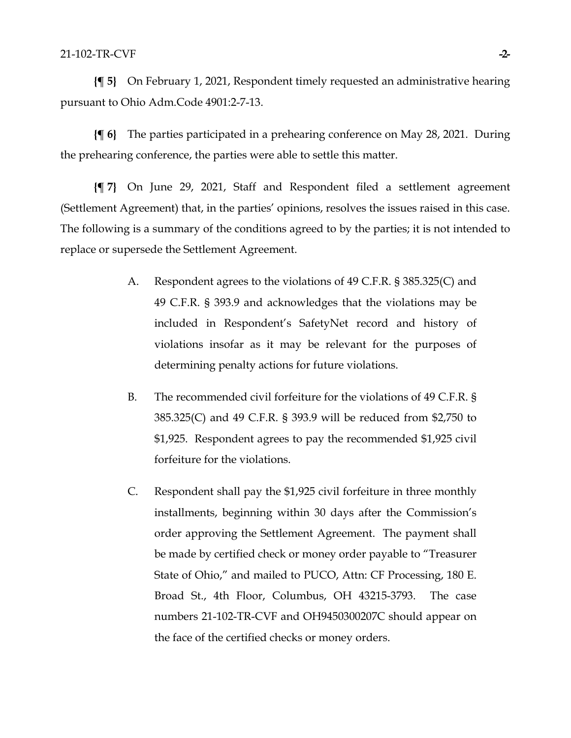**{¶ 5}** On February 1, 2021, Respondent timely requested an administrative hearing pursuant to Ohio Adm.Code 4901:2-7-13.

**{¶ 6}** The parties participated in a prehearing conference on May 28, 2021. During the prehearing conference, the parties were able to settle this matter.

**{¶ 7}** On June 29, 2021, Staff and Respondent filed a settlement agreement (Settlement Agreement) that, in the parties' opinions, resolves the issues raised in this case. The following is a summary of the conditions agreed to by the parties; it is not intended to replace or supersede the Settlement Agreement.

- A. Respondent agrees to the violations of 49 C.F.R. § 385.325(C) and 49 C.F.R. § 393.9 and acknowledges that the violations may be included in Respondent's SafetyNet record and history of violations insofar as it may be relevant for the purposes of determining penalty actions for future violations.
- B. The recommended civil forfeiture for the violations of 49 C.F.R. § 385.325(C) and 49 C.F.R. § 393.9 will be reduced from \$2,750 to \$1,925. Respondent agrees to pay the recommended \$1,925 civil forfeiture for the violations.
- C. Respondent shall pay the \$1,925 civil forfeiture in three monthly installments, beginning within 30 days after the Commission's order approving the Settlement Agreement. The payment shall be made by certified check or money order payable to "Treasurer State of Ohio," and mailed to PUCO, Attn: CF Processing, 180 E. Broad St., 4th Floor, Columbus, OH 43215-3793. The case numbers 21-102-TR-CVF and OH9450300207C should appear on the face of the certified checks or money orders.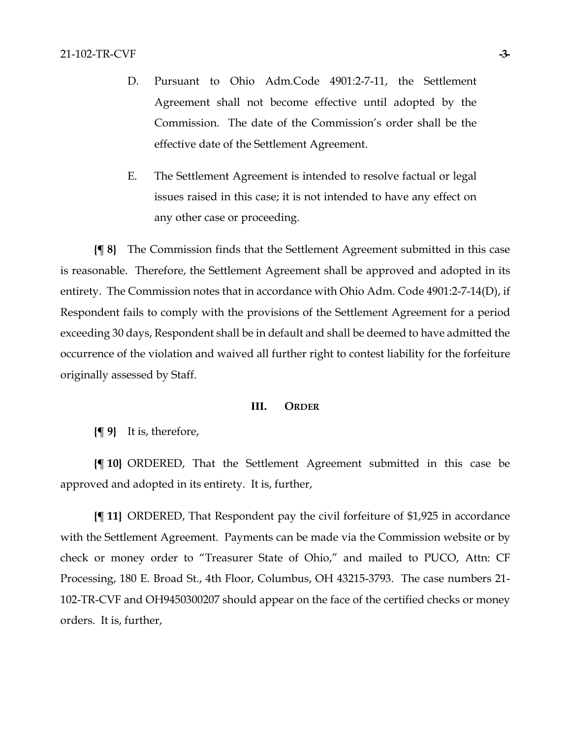- D. Pursuant to Ohio Adm.Code 4901:2-7-11, the Settlement Agreement shall not become effective until adopted by the Commission. The date of the Commission's order shall be the effective date of the Settlement Agreement.
- E. The Settlement Agreement is intended to resolve factual or legal issues raised in this case; it is not intended to have any effect on any other case or proceeding.

**{¶ 8}** The Commission finds that the Settlement Agreement submitted in this case is reasonable. Therefore, the Settlement Agreement shall be approved and adopted in its entirety. The Commission notes that in accordance with Ohio Adm. Code 4901:2-7-14(D), if Respondent fails to comply with the provisions of the Settlement Agreement for a period exceeding 30 days, Respondent shall be in default and shall be deemed to have admitted the occurrence of the violation and waived all further right to contest liability for the forfeiture originally assessed by Staff.

#### **III. ORDER**

**{¶ 9}** It is, therefore,

**{¶ 10}** ORDERED, That the Settlement Agreement submitted in this case be approved and adopted in its entirety. It is, further,

**{¶ 11}** ORDERED, That Respondent pay the civil forfeiture of \$1,925 in accordance with the Settlement Agreement. Payments can be made via the Commission website or by check or money order to "Treasurer State of Ohio," and mailed to PUCO, Attn: CF Processing, 180 E. Broad St., 4th Floor, Columbus, OH 43215-3793. The case numbers 21- 102-TR-CVF and OH9450300207 should appear on the face of the certified checks or money orders. It is, further,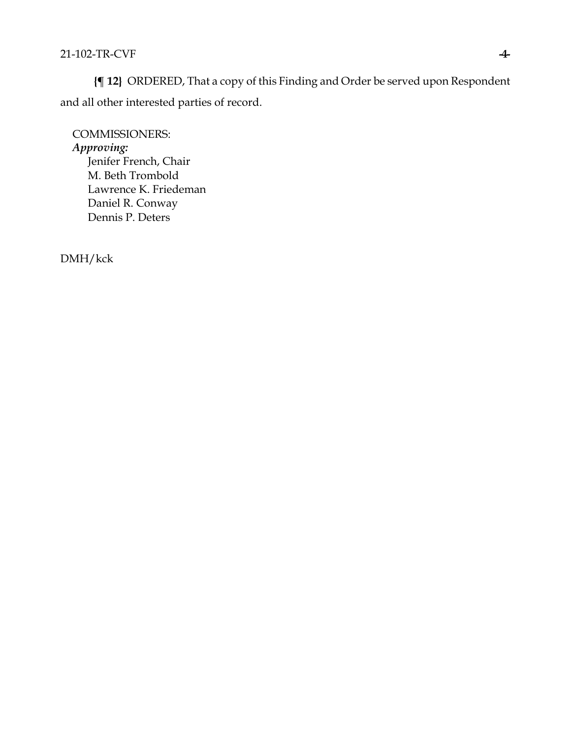**{¶ 12}** ORDERED, That a copy of this Finding and Order be served upon Respondent and all other interested parties of record.

COMMISSIONERS: *Approving:*  Jenifer French, Chair M. Beth Trombold Lawrence K. Friedeman Daniel R. Conway Dennis P. Deters

DMH/kck